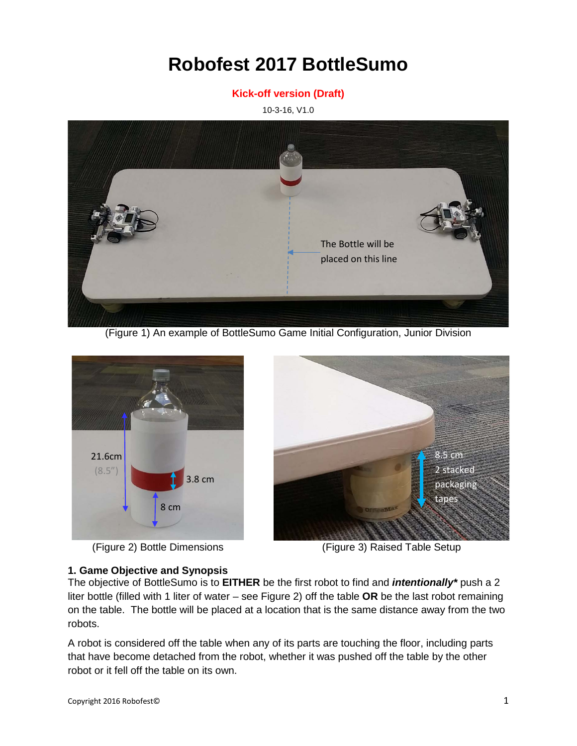# **Robofest 2017 BottleSumo**

#### **Kick-off version (Draft)**

10-3-16, V1.0



(Figure 1) An example of BottleSumo Game Initial Configuration, Junior Division



(Figure 2) Bottle Dimensions (Figure 3) Raised Table Setup



#### **1. Game Objective and Synopsis**

The objective of BottleSumo is to **EITHER** be the first robot to find and *intentionally\** push a 2 liter bottle (filled with 1 liter of water – see Figure 2) off the table **OR** be the last robot remaining on the table. The bottle will be placed at a location that is the same distance away from the two robots.

A robot is considered off the table when any of its parts are touching the floor, including parts that have become detached from the robot, whether it was pushed off the table by the other robot or it fell off the table on its own.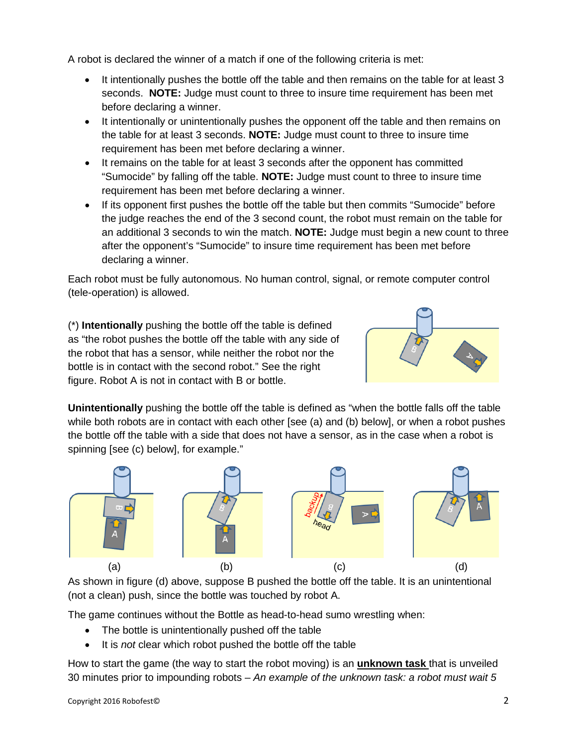A robot is declared the winner of a match if one of the following criteria is met:

- It intentionally pushes the bottle off the table and then remains on the table for at least 3 seconds. **NOTE:** Judge must count to three to insure time requirement has been met before declaring a winner.
- It intentionally or unintentionally pushes the opponent off the table and then remains on the table for at least 3 seconds. **NOTE:** Judge must count to three to insure time requirement has been met before declaring a winner.
- It remains on the table for at least 3 seconds after the opponent has committed "Sumocide" by falling off the table. **NOTE:** Judge must count to three to insure time requirement has been met before declaring a winner.
- If its opponent first pushes the bottle off the table but then commits "Sumocide" before the judge reaches the end of the 3 second count, the robot must remain on the table for an additional 3 seconds to win the match. **NOTE:** Judge must begin a new count to three after the opponent's "Sumocide" to insure time requirement has been met before declaring a winner.

Each robot must be fully autonomous. No human control, signal, or remote computer control (tele-operation) is allowed.

(\*) **Intentionally** pushing the bottle off the table is defined as "the robot pushes the bottle off the table with any side of the robot that has a sensor, while neither the robot nor the bottle is in contact with the second robot." See the right figure. Robot A is not in contact with B or bottle.



**Unintentionally** pushing the bottle off the table is defined as "when the bottle falls off the table while both robots are in contact with each other [see (a) and (b) below], or when a robot pushes the bottle off the table with a side that does not have a sensor, as in the case when a robot is spinning [see (c) below], for example."



As shown in figure (d) above, suppose B pushed the bottle off the table. It is an unintentional (not a clean) push, since the bottle was touched by robot A.

The game continues without the Bottle as head-to-head sumo wrestling when:

- The bottle is unintentionally pushed off the table
- It is *not* clear which robot pushed the bottle off the table

How to start the game (the way to start the robot moving) is an **unknown task** that is unveiled 30 minutes prior to impounding robots – *An example of the unknown task: a robot must wait 5*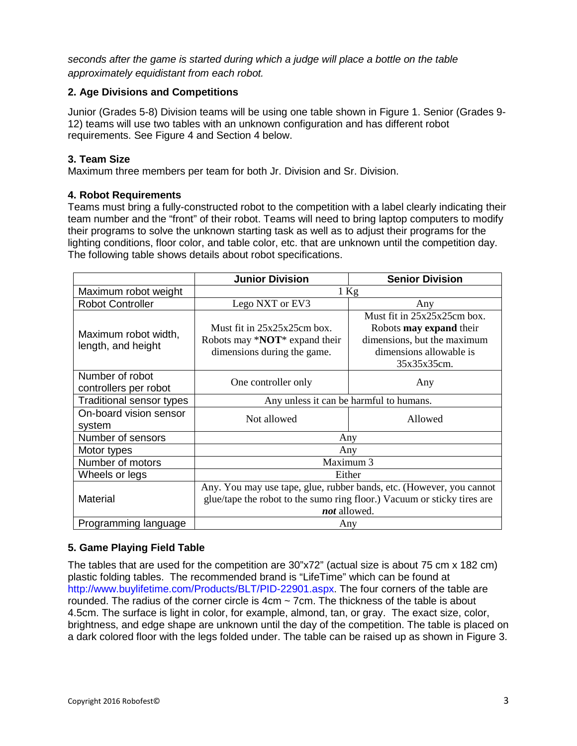*seconds after the game is started during which a judge will place a bottle on the table approximately equidistant from each robot.*

### **2. Age Divisions and Competitions**

Junior (Grades 5-8) Division teams will be using one table shown in Figure 1. Senior (Grades 9- 12) teams will use two tables with an unknown configuration and has different robot requirements. See Figure 4 and Section 4 below.

## **3. Team Size**

Maximum three members per team for both Jr. Division and Sr. Division.

#### **4. Robot Requirements**

Teams must bring a fully-constructed robot to the competition with a label clearly indicating their team number and the "front" of their robot. Teams will need to bring laptop computers to modify their programs to solve the unknown starting task as well as to adjust their programs for the lighting conditions, floor color, and table color, etc. that are unknown until the competition day. The following table shows details about robot specifications.

|                                            | <b>Junior Division</b>                                                                                                                                          | <b>Senior Division</b>                                                                                                  |
|--------------------------------------------|-----------------------------------------------------------------------------------------------------------------------------------------------------------------|-------------------------------------------------------------------------------------------------------------------------|
| Maximum robot weight                       | $1$ Kg                                                                                                                                                          |                                                                                                                         |
| <b>Robot Controller</b>                    | Lego NXT or EV3                                                                                                                                                 | Any                                                                                                                     |
| Maximum robot width,<br>length, and height | Must fit in $25x25x25cm$ hox.<br>Robots may $*NOT*$ expand their<br>dimensions during the game.                                                                 | Must fit in 25x25x25cm box.<br>Robots <b>may expand</b> their<br>dimensions, but the maximum<br>dimensions allowable is |
|                                            |                                                                                                                                                                 | 35x35x35cm.                                                                                                             |
| Number of robot<br>controllers per robot   | One controller only                                                                                                                                             | Any                                                                                                                     |
| Traditional sensor types                   | Any unless it can be harmful to humans.                                                                                                                         |                                                                                                                         |
| On-board vision sensor<br>system           | Not allowed                                                                                                                                                     | Allowed                                                                                                                 |
| Number of sensors                          | Any                                                                                                                                                             |                                                                                                                         |
| Motor types                                | Any                                                                                                                                                             |                                                                                                                         |
| Number of motors                           | Maximum 3                                                                                                                                                       |                                                                                                                         |
| Wheels or legs                             | Either                                                                                                                                                          |                                                                                                                         |
| <b>Material</b>                            | Any. You may use tape, glue, rubber bands, etc. (However, you cannot<br>glue/tape the robot to the sumo ring floor.) Vacuum or sticky tires are<br>not allowed. |                                                                                                                         |
| Programming language                       | Any                                                                                                                                                             |                                                                                                                         |

## **5. Game Playing Field Table**

The tables that are used for the competition are 30"x72" (actual size is about 75 cm x 182 cm) plastic folding tables. The recommended brand is "LifeTime" which can be found at http://www.buylifetime.com/Products/BLT/PID-22901.aspx. The four corners of the table are rounded. The radius of the corner circle is 4cm ~ 7cm. The thickness of the table is about 4.5cm. The surface is light in color, for example, almond, tan, or gray. The exact size, color, brightness, and edge shape are unknown until the day of the competition. The table is placed on a dark colored floor with the legs folded under. The table can be raised up as shown in Figure 3.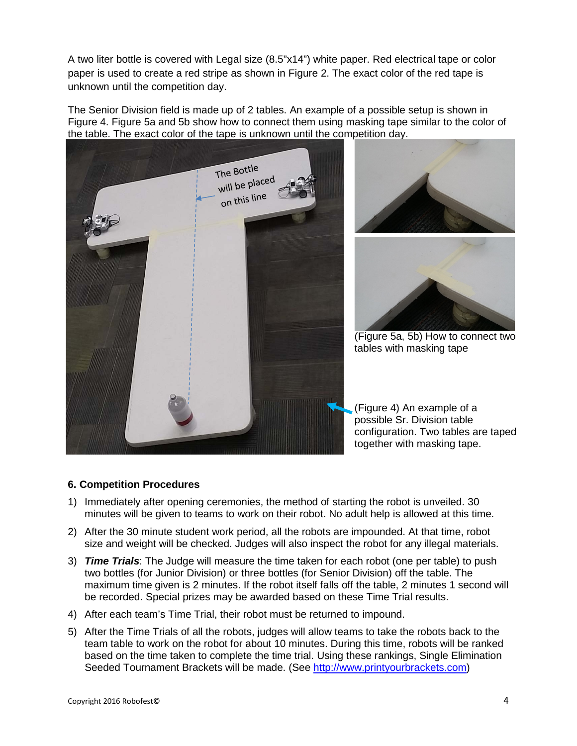A two liter bottle is covered with Legal size (8.5"x14") white paper. Red electrical tape or color paper is used to create a red stripe as shown in Figure 2. The exact color of the red tape is unknown until the competition day.

The Senior Division field is made up of 2 tables. An example of a possible setup is shown in Figure 4. Figure 5a and 5b show how to connect them using masking tape similar to the color of the table. The exact color of the tape is unknown until the competition day.



#### **6. Competition Procedures**

- 1) Immediately after opening ceremonies, the method of starting the robot is unveiled. 30 minutes will be given to teams to work on their robot. No adult help is allowed at this time.
- 2) After the 30 minute student work period, all the robots are impounded. At that time, robot size and weight will be checked. Judges will also inspect the robot for any illegal materials.
- 3) *Time Trials*: The Judge will measure the time taken for each robot (one per table) to push two bottles (for Junior Division) or three bottles (for Senior Division) off the table. The maximum time given is 2 minutes. If the robot itself falls off the table, 2 minutes 1 second will be recorded. Special prizes may be awarded based on these Time Trial results.
- 4) After each team's Time Trial, their robot must be returned to impound.
- 5) After the Time Trials of all the robots, judges will allow teams to take the robots back to the team table to work on the robot for about 10 minutes. During this time, robots will be ranked based on the time taken to complete the time trial. Using these rankings, Single Elimination Seeded Tournament Brackets will be made. (See [http://www.printyourbrackets.com\)](http://www.printyourbrackets.com/)